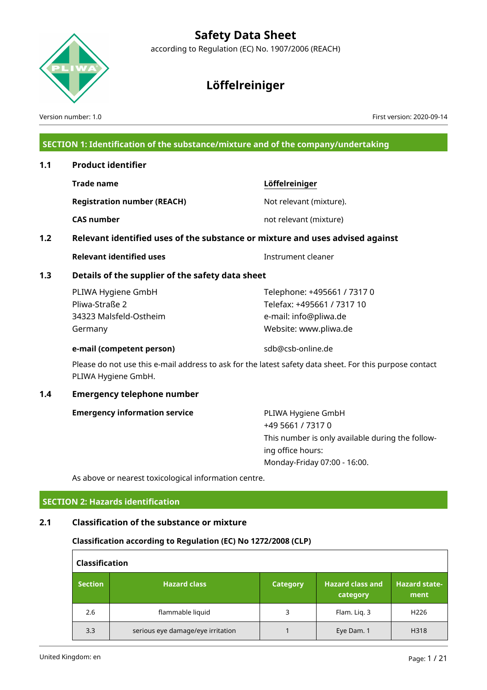

# **Safety Data Sheet**

according to Regulation (EC) No. 1907/2006 (REACH)

# **Löffelreiniger**

Version number: 1.0 **First version: 2020-09-14** First version: 2020-09-14

## **SECTION 1: Identification of the substance/mixture and of the company/undertaking**

| 1.1 | <b>Product identifier</b>                        |                                                                                                                                                                                                                                                                                                                                                                                                            |
|-----|--------------------------------------------------|------------------------------------------------------------------------------------------------------------------------------------------------------------------------------------------------------------------------------------------------------------------------------------------------------------------------------------------------------------------------------------------------------------|
|     | <b>Trade name</b>                                | Löffelreiniger                                                                                                                                                                                                                                                                                                                                                                                             |
|     | <b>Registration number (REACH)</b>               | Not relevant (mixture).                                                                                                                                                                                                                                                                                                                                                                                    |
|     | <b>CAS number</b>                                | not relevant (mixture)                                                                                                                                                                                                                                                                                                                                                                                     |
| 1.2 |                                                  | Relevant identified uses of the substance or mixture and uses advised against                                                                                                                                                                                                                                                                                                                              |
|     | <b>Relevant identified uses</b>                  | Instrument cleaner                                                                                                                                                                                                                                                                                                                                                                                         |
| 1.3 | Details of the supplier of the safety data sheet |                                                                                                                                                                                                                                                                                                                                                                                                            |
|     | PLIWA Hygiene GmbH                               | Telephone: +495661 / 7317 0                                                                                                                                                                                                                                                                                                                                                                                |
|     | Pliwa-Straße 2                                   | Telefax: +495661 / 7317 10                                                                                                                                                                                                                                                                                                                                                                                 |
|     | 34323 Malsfeld-Ostheim                           | e-mail: info@pliwa.de                                                                                                                                                                                                                                                                                                                                                                                      |
|     | Germany                                          | Website: www.pliwa.de                                                                                                                                                                                                                                                                                                                                                                                      |
|     | e-mail (competent person)                        | sdb@csb-online.de                                                                                                                                                                                                                                                                                                                                                                                          |
|     | PLIWA Hygiene GmbH.                              | Please do not use this e-mail address to ask for the latest safety data sheet. For this purpose contact                                                                                                                                                                                                                                                                                                    |
| 1.4 | <b>Emergency telephone number</b>                |                                                                                                                                                                                                                                                                                                                                                                                                            |
|     | <b>Emergency information service</b>             | PLIWA Hygiene GmbH<br>$\overline{a}$ $\overline{a}$ $\overline{a}$ $\overline{a}$ $\overline{a}$ $\overline{a}$ $\overline{a}$ $\overline{a}$ $\overline{a}$ $\overline{a}$ $\overline{a}$ $\overline{a}$ $\overline{a}$ $\overline{a}$ $\overline{a}$ $\overline{a}$ $\overline{a}$ $\overline{a}$ $\overline{a}$ $\overline{a}$ $\overline{a}$ $\overline{a}$ $\overline{a}$ $\overline{a}$ $\overline{$ |

+49 5661 / 7317 0 This number is only available during the following office hours: Monday-Friday 07:00 - 16:00.

As above or nearest toxicological information centre.

## **SECTION 2: Hazards identification**

## **2.1 Classification of the substance or mixture**

#### **Classification according to Regulation (EC) No 1272/2008 (CLP)**

| <b>Classification</b> |                                   |                 |                                     |                              |  |  |  |
|-----------------------|-----------------------------------|-----------------|-------------------------------------|------------------------------|--|--|--|
| <b>Section</b>        | <b>Hazard class</b>               | <b>Category</b> | <b>Hazard class and</b><br>category | <b>Hazard state-</b><br>ment |  |  |  |
| 2.6                   | flammable liquid                  | 3               | Flam. Lig. 3                        | H <sub>226</sub>             |  |  |  |
| 3.3                   | serious eye damage/eye irritation |                 | Eye Dam. 1                          | H318                         |  |  |  |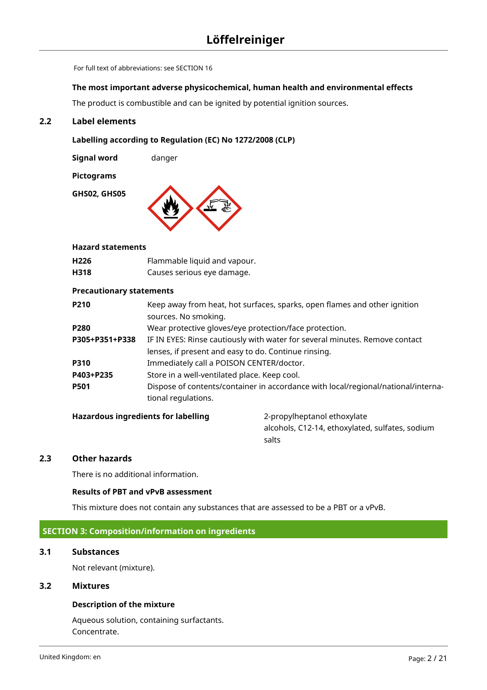For full text of abbreviations: see SECTION 16

#### **The most important adverse physicochemical, human health and environmental effects**

The product is combustible and can be ignited by potential ignition sources.

## **2.2 Label elements**

#### **Labelling according to Regulation (EC) No 1272/2008 (CLP)**

**Signal word** danger

**Pictograms**

**GHS02, GHS05**



#### **Hazard statements**

| H226 | Flammable liquid and vapour. |
|------|------------------------------|
| H318 | Causes serious eye damage.   |

#### **Precautionary statements**

| <b>P210</b>    | Keep away from heat, hot surfaces, sparks, open flames and other ignition                                |
|----------------|----------------------------------------------------------------------------------------------------------|
|                | sources. No smoking.                                                                                     |
| P280           | Wear protective gloves/eye protection/face protection.                                                   |
| P305+P351+P338 | IF IN EYES: Rinse cautiously with water for several minutes. Remove contact                              |
|                | lenses, if present and easy to do. Continue rinsing.                                                     |
| P310           | Immediately call a POISON CENTER/doctor.                                                                 |
| P403+P235      | Store in a well-ventilated place. Keep cool.                                                             |
| P501           | Dispose of contents/container in accordance with local/regional/national/interna-<br>tional regulations. |
|                |                                                                                                          |

## **Hazardous ingredients for labelling** 2-propylheptanol ethoxylate

alcohols, C12-14, ethoxylated, sulfates, sodium salts

#### **2.3 Other hazards**

There is no additional information.

#### **Results of PBT and vPvB assessment**

This mixture does not contain any substances that are assessed to be a PBT or a vPvB.

#### **SECTION 3: Composition/information on ingredients**

## **3.1 Substances**

Not relevant (mixture).

## **3.2 Mixtures**

#### **Description of the mixture**

Aqueous solution, containing surfactants. Concentrate.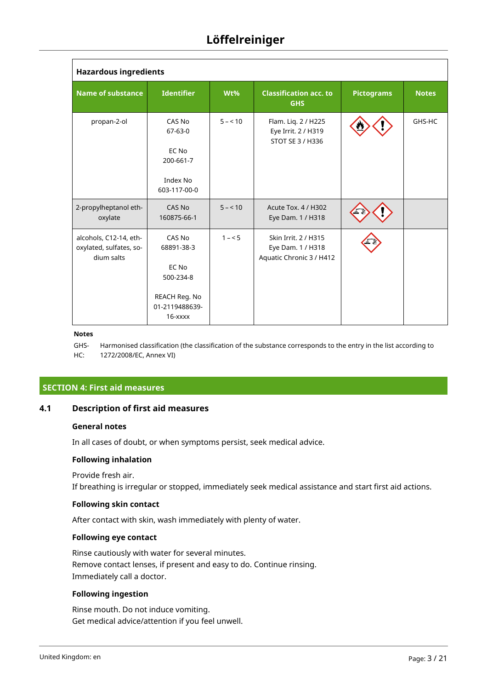| <b>Hazardous ingredients</b>                                    |                                                                                          |          |                                                                       |            |              |  |  |  |
|-----------------------------------------------------------------|------------------------------------------------------------------------------------------|----------|-----------------------------------------------------------------------|------------|--------------|--|--|--|
| <b>Name of substance</b>                                        | <b>Identifier</b>                                                                        | Wt%      | <b>Classification acc. to</b><br><b>GHS</b>                           | Pictograms | <b>Notes</b> |  |  |  |
| propan-2-ol                                                     | CAS No<br>$67 - 63 - 0$<br>EC No<br>200-661-7<br>Index No<br>603-117-00-0                | $5 - 10$ | Flam. Liq. 2 / H225<br>Eye Irrit. 2 / H319<br>STOT SE 3 / H336        |            | GHS-HC       |  |  |  |
| 2-propylheptanol eth-<br>oxylate                                | CAS No<br>160875-66-1                                                                    | $5 - 10$ | Acute Tox. 4 / H302<br>Eye Dam. 1 / H318                              |            |              |  |  |  |
| alcohols, C12-14, eth-<br>oxylated, sulfates, so-<br>dium salts | CAS No<br>68891-38-3<br>EC No<br>500-234-8<br>REACH Reg. No<br>01-2119488639-<br>16-xxxx | $1 - 5$  | Skin Irrit. 2 / H315<br>Eye Dam. 1 / H318<br>Aquatic Chronic 3 / H412 |            |              |  |  |  |

#### **Notes**

GHS-HC: Harmonised classification (the classification of the substance corresponds to the entry in the list according to 1272/2008/EC, Annex VI)

#### **SECTION 4: First aid measures**

#### **4.1 Description of first aid measures**

#### **General notes**

In all cases of doubt, or when symptoms persist, seek medical advice.

#### **Following inhalation**

Provide fresh air.

If breathing is irregular or stopped, immediately seek medical assistance and start first aid actions.

#### **Following skin contact**

After contact with skin, wash immediately with plenty of water.

#### **Following eye contact**

Rinse cautiously with water for several minutes. Remove contact lenses, if present and easy to do. Continue rinsing. Immediately call a doctor.

#### **Following ingestion**

Rinse mouth. Do not induce vomiting. Get medical advice/attention if you feel unwell.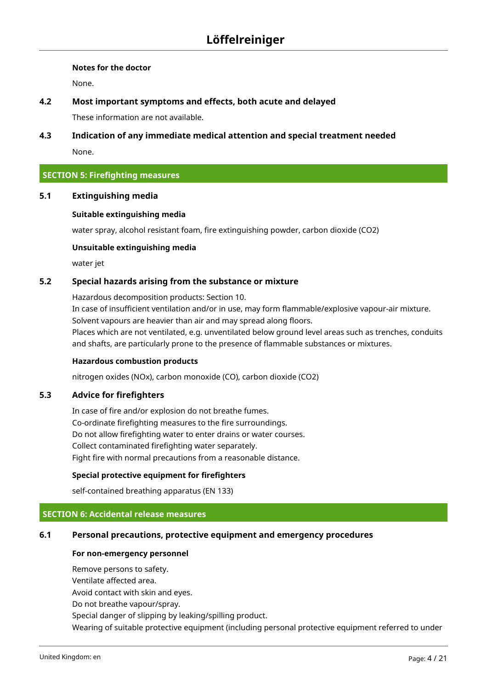#### **Notes for the doctor**

None.

## **4.2 Most important symptoms and effects, both acute and delayed**

These information are not available.

# **4.3 Indication of any immediate medical attention and special treatment needed** None.

## **SECTION 5: Firefighting measures**

## **5.1 Extinguishing media**

## **Suitable extinguishing media**

water spray, alcohol resistant foam, fire extinguishing powder, carbon dioxide (CO2)

## **Unsuitable extinguishing media**

water jet

## **5.2 Special hazards arising from the substance or mixture**

Hazardous decomposition products: Section 10.

In case of insufficient ventilation and/or in use, may form flammable/explosive vapour-air mixture. Solvent vapours are heavier than air and may spread along floors. Places which are not ventilated, e.g. unventilated below ground level areas such as trenches, conduits and shafts, are particularly prone to the presence of flammable substances or mixtures.

#### **Hazardous combustion products**

nitrogen oxides (NOx), carbon monoxide (CO), carbon dioxide (CO2)

## **5.3 Advice for firefighters**

In case of fire and/or explosion do not breathe fumes. Co-ordinate firefighting measures to the fire surroundings. Do not allow firefighting water to enter drains or water courses. Collect contaminated firefighting water separately. Fight fire with normal precautions from a reasonable distance.

#### **Special protective equipment for firefighters**

self-contained breathing apparatus (EN 133)

## **SECTION 6: Accidental release measures**

## **6.1 Personal precautions, protective equipment and emergency procedures**

#### **For non-emergency personnel**

Remove persons to safety.

Ventilate affected area.

Avoid contact with skin and eyes.

Do not breathe vapour/spray.

Special danger of slipping by leaking/spilling product.

Wearing of suitable protective equipment (including personal protective equipment referred to under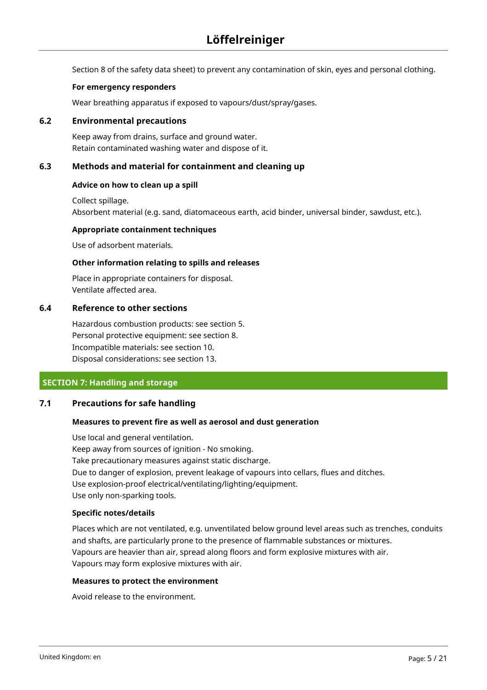Section 8 of the safety data sheet) to prevent any contamination of skin, eyes and personal clothing.

#### **For emergency responders**

Wear breathing apparatus if exposed to vapours/dust/spray/gases.

#### **6.2 Environmental precautions**

Keep away from drains, surface and ground water. Retain contaminated washing water and dispose of it.

#### **6.3 Methods and material for containment and cleaning up**

#### **Advice on how to clean up a spill**

Collect spillage. Absorbent material (e.g. sand, diatomaceous earth, acid binder, universal binder, sawdust, etc.).

#### **Appropriate containment techniques**

Use of adsorbent materials.

#### **Other information relating to spills and releases**

Place in appropriate containers for disposal. Ventilate affected area.

#### **6.4 Reference to other sections**

Hazardous combustion products: see section 5. Personal protective equipment: see section 8. Incompatible materials: see section 10. Disposal considerations: see section 13.

#### **SECTION 7: Handling and storage**

#### **7.1 Precautions for safe handling**

#### **Measures to prevent fire as well as aerosol and dust generation**

Use local and general ventilation. Keep away from sources of ignition - No smoking. Take precautionary measures against static discharge. Due to danger of explosion, prevent leakage of vapours into cellars, flues and ditches. Use explosion-proof electrical/ventilating/lighting/equipment. Use only non-sparking tools.

#### **Specific notes/details**

Places which are not ventilated, e.g. unventilated below ground level areas such as trenches, conduits and shafts, are particularly prone to the presence of flammable substances or mixtures. Vapours are heavier than air, spread along floors and form explosive mixtures with air. Vapours may form explosive mixtures with air.

#### **Measures to protect the environment**

Avoid release to the environment.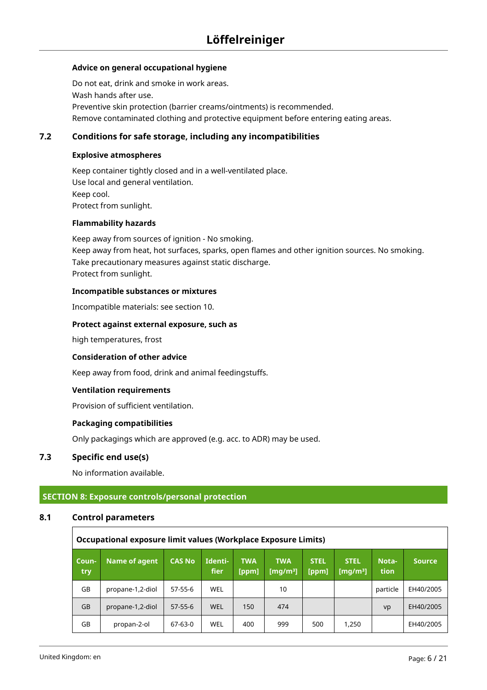#### **Advice on general occupational hygiene**

Do not eat, drink and smoke in work areas. Wash hands after use. Preventive skin protection (barrier creams/ointments) is recommended. Remove contaminated clothing and protective equipment before entering eating areas.

#### **7.2 Conditions for safe storage, including any incompatibilities**

#### **Explosive atmospheres**

Keep container tightly closed and in a well-ventilated place. Use local and general ventilation. Keep cool. Protect from sunlight.

#### **Flammability hazards**

Keep away from sources of ignition - No smoking. Keep away from heat, hot surfaces, sparks, open flames and other ignition sources. No smoking. Take precautionary measures against static discharge. Protect from sunlight.

#### **Incompatible substances or mixtures**

Incompatible materials: see section 10.

#### **Protect against external exposure, such as**

high temperatures, frost

#### **Consideration of other advice**

Keep away from food, drink and animal feedingstuffs.

#### **Ventilation requirements**

Provision of sufficient ventilation.

#### **Packaging compatibilities**

Only packagings which are approved (e.g. acc. to ADR) may be used.

## **7.3 Specific end use(s)**

No information available.

## **SECTION 8: Exposure controls/personal protection**

#### **8.1 Control parameters**

| Occupational exposure limit values (Workplace Exposure Limits) |                  |               |                 |                     |                           |                      |                            |               |               |
|----------------------------------------------------------------|------------------|---------------|-----------------|---------------------|---------------------------|----------------------|----------------------------|---------------|---------------|
| Coun-<br>try                                                   | Name of agent    | <b>CAS No</b> | Identi-<br>fier | <b>TWA</b><br>[ppm] | <b>TWA</b><br>[mg/m $3$ ] | <b>STEL</b><br>[ppm] | <b>STEL</b><br>[ $mq/m3$ ] | Nota-<br>tion | <b>Source</b> |
| GB                                                             | propane-1,2-diol | $57 - 55 - 6$ | WEL             |                     | 10                        |                      |                            | particle      | EH40/2005     |
| <b>GB</b>                                                      | propane-1,2-diol | $57 - 55 - 6$ | WEL             | 150                 | 474                       |                      |                            | vp            | EH40/2005     |
| GB                                                             | propan-2-ol      | 67-63-0       | WEL             | 400                 | 999                       | 500                  | 1,250                      |               | EH40/2005     |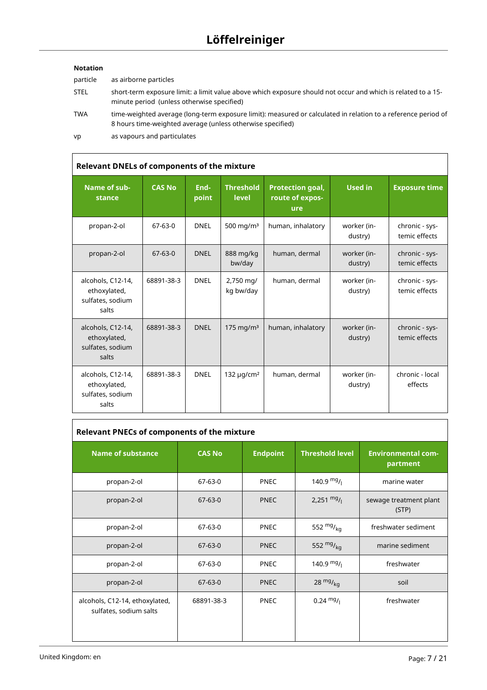## **Notation**

particle as airborne particles

- STEL short-term exposure limit: a limit value above which exposure should not occur and which is related to a 15 minute period (unless otherwise specified)
- TWA time-weighted average (long-term exposure limit): measured or calculated in relation to a reference period of 8 hours time-weighted average (unless otherwise specified)
- vp as vapours and particulates

| Relevant DNELs of components of the mixture                    |               |               |                             |                                                   |                        |                                 |  |  |
|----------------------------------------------------------------|---------------|---------------|-----------------------------|---------------------------------------------------|------------------------|---------------------------------|--|--|
| Name of sub-<br>stance                                         | <b>CAS No</b> | End-<br>point | <b>Threshold</b><br>level   | <b>Protection goal,</b><br>route of expos-<br>ure | <b>Used in</b>         | <b>Exposure time</b>            |  |  |
| propan-2-ol                                                    | $67 - 63 - 0$ | <b>DNEL</b>   | 500 mg/m $3$                | human, inhalatory                                 | worker (in-<br>dustry) | chronic - sys-<br>temic effects |  |  |
| propan-2-ol                                                    | $67-63-0$     | <b>DNEL</b>   | 888 mg/kg<br>bw/day         | human, dermal                                     | worker (in-<br>dustry) | chronic - sys-<br>temic effects |  |  |
| alcohols, C12-14,<br>ethoxylated,<br>sulfates, sodium<br>salts | 68891-38-3    | <b>DNEL</b>   | 2,750 mg/<br>kg bw/day      | human, dermal                                     | worker (in-<br>dustry) | chronic - sys-<br>temic effects |  |  |
| alcohols, C12-14,<br>ethoxylated,<br>sulfates, sodium<br>salts | 68891-38-3    | <b>DNEL</b>   | 175 mg/m $3$                | human, inhalatory                                 | worker (in-<br>dustry) | chronic - sys-<br>temic effects |  |  |
| alcohols, C12-14,<br>ethoxylated,<br>sulfates, sodium<br>salts | 68891-38-3    | <b>DNEL</b>   | 132 $\mu$ g/cm <sup>2</sup> | human, dermal                                     | worker (in-<br>dustry) | chronic - local<br>effects      |  |  |

## **Relevant PNECs of components of the mixture**

| <b>Name of substance</b>                                 | <b>CAS No</b> | <b>Endpoint</b> | <b>Threshold level</b> | <b>Environmental com-</b><br>partment |  |
|----------------------------------------------------------|---------------|-----------------|------------------------|---------------------------------------|--|
| propan-2-ol                                              | $67 - 63 - 0$ | <b>PNEC</b>     | $140.9$ mg/            | marine water                          |  |
| propan-2-ol                                              | $67 - 63 - 0$ | <b>PNEC</b>     | 2,251 $mg/$            | sewage treatment plant<br>(STP)       |  |
| propan-2-ol                                              | 67-63-0       | <b>PNEC</b>     | 552 $mg/kq$            | freshwater sediment                   |  |
| propan-2-ol                                              | $67 - 63 - 0$ | <b>PNEC</b>     | 552 $mg/kq$            | marine sediment                       |  |
| propan-2-ol                                              | $67 - 63 - 0$ | <b>PNEC</b>     | 140.9 $mg/$            | freshwater                            |  |
| propan-2-ol                                              | $67 - 63 - 0$ | <b>PNEC</b>     | $28 \frac{mg}{kg}$     | soil                                  |  |
| alcohols, C12-14, ethoxylated,<br>sulfates, sodium salts | 68891-38-3    | <b>PNEC</b>     | $0.24 \frac{mg}{l}$    | freshwater                            |  |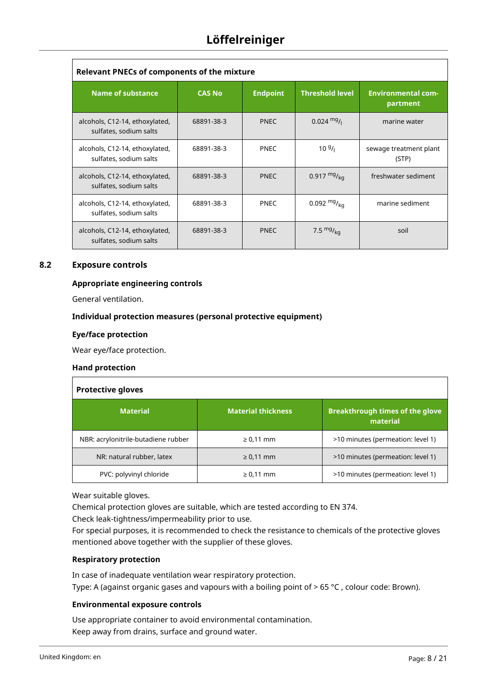| <b>Relevant PNECs of components of the mixture</b>       |               |                 |                        |                                       |  |  |  |  |
|----------------------------------------------------------|---------------|-----------------|------------------------|---------------------------------------|--|--|--|--|
| <b>Name of substance</b>                                 | <b>CAS No</b> | <b>Endpoint</b> | <b>Threshold level</b> | <b>Environmental com-</b><br>partment |  |  |  |  |
| alcohols, C12-14, ethoxylated,<br>sulfates, sodium salts | 68891-38-3    | <b>PNEC</b>     | $0.024 \text{ mg}$ /   | marine water                          |  |  |  |  |
| alcohols, C12-14, ethoxylated,<br>sulfates, sodium salts | 68891-38-3    | <b>PNEC</b>     | $109/_1$               | sewage treatment plant<br>(STP)       |  |  |  |  |
| alcohols, C12-14, ethoxylated,<br>sulfates, sodium salts | 68891-38-3    | <b>PNEC</b>     | 0.917 $mg/_{ka}$       | freshwater sediment                   |  |  |  |  |
| alcohols, C12-14, ethoxylated,<br>sulfates, sodium salts | 68891-38-3    | <b>PNEC</b>     | 0.092 $mg/kq$          | marine sediment                       |  |  |  |  |
| alcohols, C12-14, ethoxylated,<br>sulfates, sodium salts | 68891-38-3    | <b>PNEC</b>     | 7.5 $mg/kq$            | soil                                  |  |  |  |  |

## **8.2 Exposure controls**

## **Appropriate engineering controls**

General ventilation.

## **Individual protection measures (personal protective equipment)**

### **Eye/face protection**

Wear eye/face protection.

#### **Hand protection**

## **Protective gloves**

| <b>Material</b>                     | <b>Material thickness</b> | <b>Breakthrough times of the glove</b><br>material |
|-------------------------------------|---------------------------|----------------------------------------------------|
| NBR: acrylonitrile-butadiene rubber | $\geq 0.11$ mm            | >10 minutes (permeation: level 1)                  |
| NR: natural rubber, latex           | $\geq 0.11$ mm            | >10 minutes (permeation: level 1)                  |
| PVC: polyvinyl chloride             | $\geq 0.11$ mm            | >10 minutes (permeation: level 1)                  |

Wear suitable gloves.

Chemical protection gloves are suitable, which are tested according to EN 374.

Check leak-tightness/impermeability prior to use.

For special purposes, it is recommended to check the resistance to chemicals of the protective gloves mentioned above together with the supplier of these gloves.

#### **Respiratory protection**

In case of inadequate ventilation wear respiratory protection. Type: A (against organic gases and vapours with a boiling point of > 65 °C , colour code: Brown).

#### **Environmental exposure controls**

Use appropriate container to avoid environmental contamination. Keep away from drains, surface and ground water.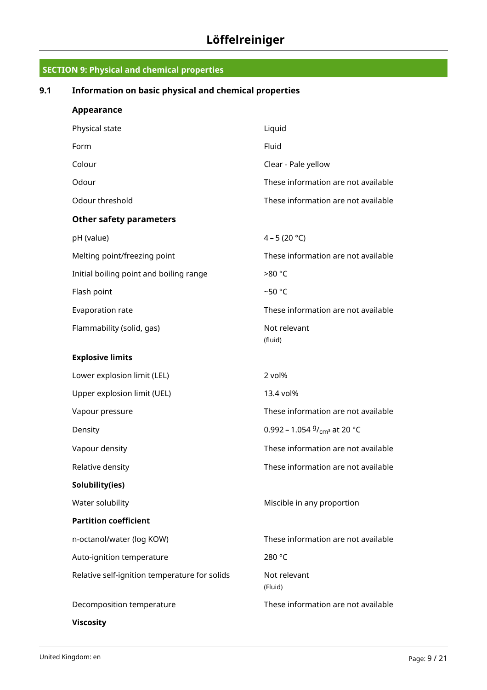| Information on basic physical and chemical properties |                                                           |  |  |  |
|-------------------------------------------------------|-----------------------------------------------------------|--|--|--|
| Appearance                                            |                                                           |  |  |  |
| Physical state                                        | Liquid                                                    |  |  |  |
| Form                                                  | Fluid                                                     |  |  |  |
| Colour                                                | Clear - Pale yellow                                       |  |  |  |
| Odour                                                 | These information are not available                       |  |  |  |
| Odour threshold                                       | These information are not available                       |  |  |  |
| <b>Other safety parameters</b>                        |                                                           |  |  |  |
| pH (value)                                            | $4 - 5 (20 °C)$                                           |  |  |  |
| Melting point/freezing point                          | These information are not available                       |  |  |  |
| Initial boiling point and boiling range               | >80 °C<br>~50 $°C$<br>These information are not available |  |  |  |
| Flash point                                           |                                                           |  |  |  |
| Evaporation rate                                      |                                                           |  |  |  |
| Flammability (solid, gas)                             | Not relevant<br>(fluid)                                   |  |  |  |
| <b>Explosive limits</b>                               |                                                           |  |  |  |
| Lower explosion limit (LEL)                           | 2 vol%                                                    |  |  |  |
| Upper explosion limit (UEL)                           | 13.4 vol%                                                 |  |  |  |
| Vapour pressure                                       | These information are not available                       |  |  |  |
| Density                                               | 0.992 – 1.054 $9/$ <sub>cm</sub> <sup>3</sup> at 20 °C    |  |  |  |
| Vapour density                                        | These information are not available                       |  |  |  |
| Relative density                                      | These information are not available                       |  |  |  |
| Solubility(ies)                                       |                                                           |  |  |  |
| Water solubility                                      | Miscible in any proportion                                |  |  |  |
| <b>Partition coefficient</b>                          |                                                           |  |  |  |
| n-octanol/water (log KOW)                             | These information are not available                       |  |  |  |
| Auto-ignition temperature                             | 280 °C                                                    |  |  |  |
| Relative self-ignition temperature for solids         | Not relevant<br>(Fluid)                                   |  |  |  |
| Decomposition temperature                             | These information are not available                       |  |  |  |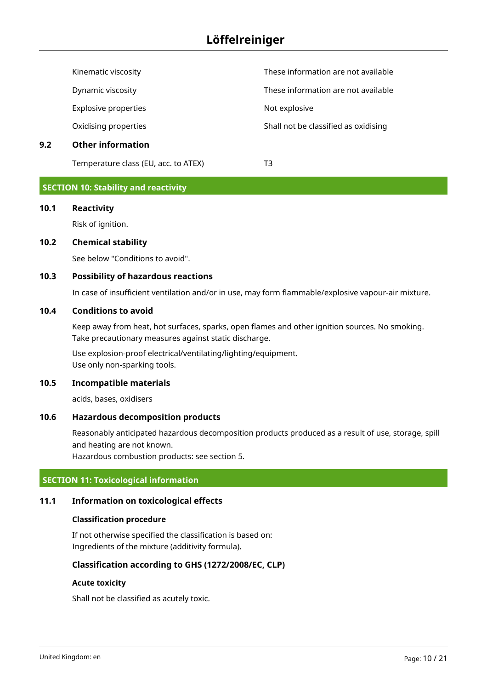Explosive properties and the state of the Not explosive

Kinematic viscosity These information are not available

Dynamic viscosity These information are not available

Oxidising properties The Shall not be classified as oxidising

## **9.2 Other information**

Temperature class (EU, acc. to ATEX) T3

## **SECTION 10: Stability and reactivity**

## **10.1 Reactivity**

Risk of ignition.

## **10.2 Chemical stability**

See below "Conditions to avoid".

## **10.3 Possibility of hazardous reactions**

In case of insufficient ventilation and/or in use, may form flammable/explosive vapour-air mixture.

## **10.4 Conditions to avoid**

Keep away from heat, hot surfaces, sparks, open flames and other ignition sources. No smoking. Take precautionary measures against static discharge.

Use explosion-proof electrical/ventilating/lighting/equipment. Use only non-sparking tools.

## **10.5 Incompatible materials**

acids, bases, oxidisers

## **10.6 Hazardous decomposition products**

Reasonably anticipated hazardous decomposition products produced as a result of use, storage, spill and heating are not known.

Hazardous combustion products: see section 5.

## **SECTION 11: Toxicological information**

## **11.1 Information on toxicological effects**

#### **Classification procedure**

If not otherwise specified the classification is based on: Ingredients of the mixture (additivity formula).

## **Classification according to GHS (1272/2008/EC, CLP)**

#### **Acute toxicity**

Shall not be classified as acutely toxic.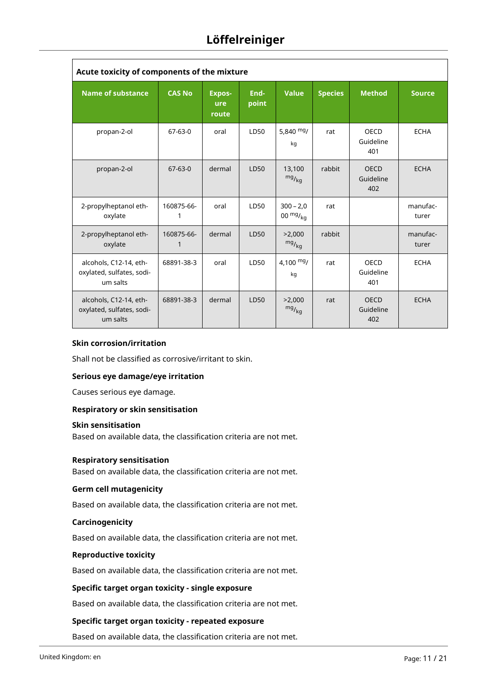| Acute toxicity of components of the mixture                     |                 |                               |               |                          |                |                                 |                   |  |
|-----------------------------------------------------------------|-----------------|-------------------------------|---------------|--------------------------|----------------|---------------------------------|-------------------|--|
| <b>Name of substance</b>                                        | <b>CAS No</b>   | <b>Expos-</b><br>ure<br>route | End-<br>point | <b>Value</b>             | <b>Species</b> | <b>Method</b>                   | <b>Source</b>     |  |
| propan-2-ol                                                     | 67-63-0         | oral                          | LD50          | 5,840 $mg/$<br>kg        | rat            | OECD<br>Guideline<br>401        | <b>ECHA</b>       |  |
| propan-2-ol                                                     | $67 - 63 - 0$   | dermal                        | LD50          | 13,100<br>$mg/_{kg}$     | rabbit         | <b>OECD</b><br>Guideline<br>402 | <b>ECHA</b>       |  |
| 2-propylheptanol eth-<br>oxylate                                | 160875-66-<br>1 | oral                          | LD50          | $300 - 2,0$<br>00 $mg/g$ | rat            |                                 | manufac-<br>turer |  |
| 2-propylheptanol eth-<br>oxylate                                | 160875-66-<br>1 | dermal                        | LD50          | >2,000<br>$mg/_{kg}$     | rabbit         |                                 | manufac-<br>turer |  |
| alcohols, C12-14, eth-<br>oxylated, sulfates, sodi-<br>um salts | 68891-38-3      | oral                          | LD50          | 4,100 $mg/$<br>kg        | rat            | <b>OECD</b><br>Guideline<br>401 | <b>ECHA</b>       |  |
| alcohols, C12-14, eth-<br>oxylated, sulfates, sodi-<br>um salts | 68891-38-3      | dermal                        | LD50          | >2,000<br>$mg/_{kg}$     | rat            | <b>OECD</b><br>Guideline<br>402 | <b>ECHA</b>       |  |

#### **Skin corrosion/irritation**

Shall not be classified as corrosive/irritant to skin.

#### **Serious eye damage/eye irritation**

Causes serious eye damage.

#### **Respiratory or skin sensitisation**

#### **Skin sensitisation**

Based on available data, the classification criteria are not met.

#### **Respiratory sensitisation**

Based on available data, the classification criteria are not met.

#### **Germ cell mutagenicity**

Based on available data, the classification criteria are not met.

#### **Carcinogenicity**

Based on available data, the classification criteria are not met.

#### **Reproductive toxicity**

Based on available data, the classification criteria are not met.

#### **Specific target organ toxicity - single exposure**

Based on available data, the classification criteria are not met.

#### **Specific target organ toxicity - repeated exposure**

Based on available data, the classification criteria are not met.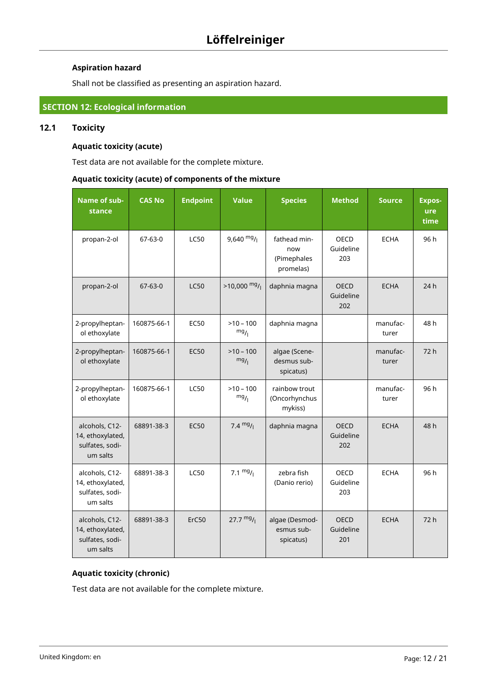## **Aspiration hazard**

Shall not be classified as presenting an aspiration hazard.

# **SECTION 12: Ecological information**

## **12.1 Toxicity**

## **Aquatic toxicity (acute)**

Test data are not available for the complete mixture.

## **Aquatic toxicity (acute) of components of the mixture**

| Name of sub-<br>stance                                            | <b>CAS No</b> | <b>Endpoint</b> | <b>Value</b>        | <b>Species</b>                                  | <b>Method</b>                   | <b>Source</b>     | <b>Expos-</b><br>ure<br>time |
|-------------------------------------------------------------------|---------------|-----------------|---------------------|-------------------------------------------------|---------------------------------|-------------------|------------------------------|
| propan-2-ol                                                       | $67 - 63 - 0$ | <b>LC50</b>     | $9,640$ mg/         | fathead min-<br>now<br>(Pimephales<br>promelas) | <b>OECD</b><br>Guideline<br>203 | <b>ECHA</b>       | 96 h                         |
| propan-2-ol                                                       | 67-63-0       | <b>LC50</b>     | $>10,000$ mg/       | daphnia magna                                   | <b>OECD</b><br>Guideline<br>202 | <b>ECHA</b>       | 24h                          |
| 2-propylheptan-<br>ol ethoxylate                                  | 160875-66-1   | <b>EC50</b>     | $>10 - 100$<br>mg/  | daphnia magna                                   |                                 | manufac-<br>turer | 48 h                         |
| 2-propylheptan-<br>ol ethoxylate                                  | 160875-66-1   | <b>EC50</b>     | $>10 - 100$<br>mg/  | algae (Scene-<br>desmus sub-<br>spicatus)       |                                 | manufac-<br>turer | 72 h                         |
| 2-propylheptan-<br>ol ethoxylate                                  | 160875-66-1   | <b>LC50</b>     | $>10 - 100$<br>mg/  | rainbow trout<br>(Oncorhynchus<br>mykiss)       |                                 | manufac-<br>turer | 96 h                         |
| alcohols, C12-<br>14, ethoxylated,<br>sulfates, sodi-<br>um salts | 68891-38-3    | <b>EC50</b>     | 7.4 $mg/$           | daphnia magna                                   | <b>OECD</b><br>Guideline<br>202 | <b>ECHA</b>       | 48 h                         |
| alcohols, C12-<br>14, ethoxylated,<br>sulfates, sodi-<br>um salts | 68891-38-3    | <b>LC50</b>     | 7.1 $mg/1$          | zebra fish<br>(Danio rerio)                     | <b>OECD</b><br>Guideline<br>203 | <b>ECHA</b>       | 96 h                         |
| alcohols, C12-<br>14, ethoxylated,<br>sulfates, sodi-<br>um salts | 68891-38-3    | ErC50           | $27.7 \frac{mg}{l}$ | algae (Desmod-<br>esmus sub-<br>spicatus)       | <b>OECD</b><br>Guideline<br>201 | <b>ECHA</b>       | 72 h                         |

## **Aquatic toxicity (chronic)**

Test data are not available for the complete mixture.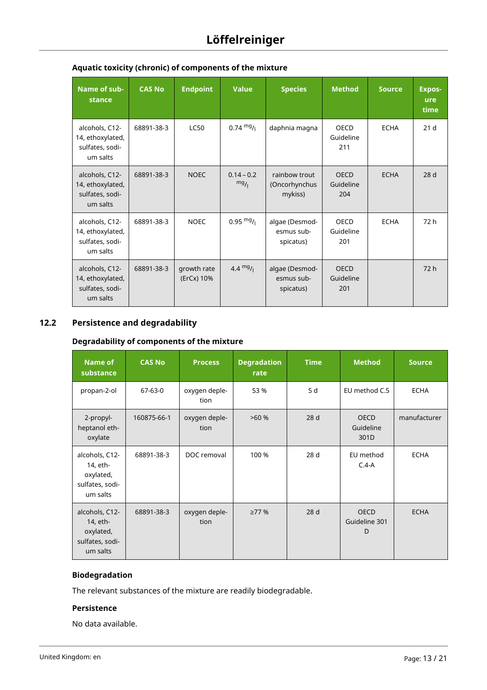| Name of sub-<br>stance                                            | <b>CAS No</b> | <b>Endpoint</b>           | <b>Value</b>        | <b>Species</b>                            | <b>Method</b>                   | <b>Source</b> | <b>Expos-</b><br>ure<br>time |
|-------------------------------------------------------------------|---------------|---------------------------|---------------------|-------------------------------------------|---------------------------------|---------------|------------------------------|
| alcohols, C12-<br>14, ethoxylated,<br>sulfates, sodi-<br>um salts | 68891-38-3    | <b>LC50</b>               | $0.74 \frac{mg}{l}$ | daphnia magna                             | OECD<br>Guideline<br>211        | <b>ECHA</b>   | 21 <sub>d</sub>              |
| alcohols, C12-<br>14, ethoxylated,<br>sulfates, sodi-<br>um salts | 68891-38-3    | <b>NOEC</b>               | $0.14 - 0.2$<br>mg/ | rainbow trout<br>(Oncorhynchus<br>mykiss) | <b>OECD</b><br>Guideline<br>204 | <b>ECHA</b>   | 28 d                         |
| alcohols, C12-<br>14, ethoxylated,<br>sulfates, sodi-<br>um salts | 68891-38-3    | <b>NOEC</b>               | $0.95 \frac{mg}{l}$ | algae (Desmod-<br>esmus sub-<br>spicatus) | OECD<br>Guideline<br>201        | <b>ECHA</b>   | 72 h                         |
| alcohols, C12-<br>14, ethoxylated,<br>sulfates, sodi-<br>um salts | 68891-38-3    | growth rate<br>(ErCx) 10% | 4.4 $mg/1$          | algae (Desmod-<br>esmus sub-<br>spicatus) | <b>OECD</b><br>Guideline<br>201 |               | 72h                          |

# **Aquatic toxicity (chronic) of components of the mixture**

# **12.2 Persistence and degradability**

# **Degradability of components of the mixture**

| <b>Name of</b><br>substance                                            | <b>CAS No</b> | <b>Process</b>        | <b>Degradation</b><br>rate | <b>Time</b> | <b>Method</b>                     | <b>Source</b> |
|------------------------------------------------------------------------|---------------|-----------------------|----------------------------|-------------|-----------------------------------|---------------|
| propan-2-ol                                                            | 67-63-0       | oxygen deple-<br>tion | 53 %                       | 5 d         | EU method C.5                     | <b>ECHA</b>   |
| 2-propyl-<br>heptanol eth-<br>oxylate                                  | 160875-66-1   | oxygen deple-<br>tion | >60%                       | 28 d        | <b>OECD</b><br>Guideline<br>301D  | manufacturer  |
| alcohols, C12-<br>14, eth-<br>oxylated,<br>sulfates, sodi-<br>um salts | 68891-38-3    | DOC removal           | 100 %                      | 28 d        | EU method<br>$C.4-A$              | <b>ECHA</b>   |
| alcohols, C12-<br>14, eth-<br>oxylated,<br>sulfates, sodi-<br>um salts | 68891-38-3    | oxygen deple-<br>tion | 277%                       | 28 d        | <b>OECD</b><br>Guideline 301<br>D | <b>ECHA</b>   |

# **Biodegradation**

The relevant substances of the mixture are readily biodegradable.

## **Persistence**

No data available.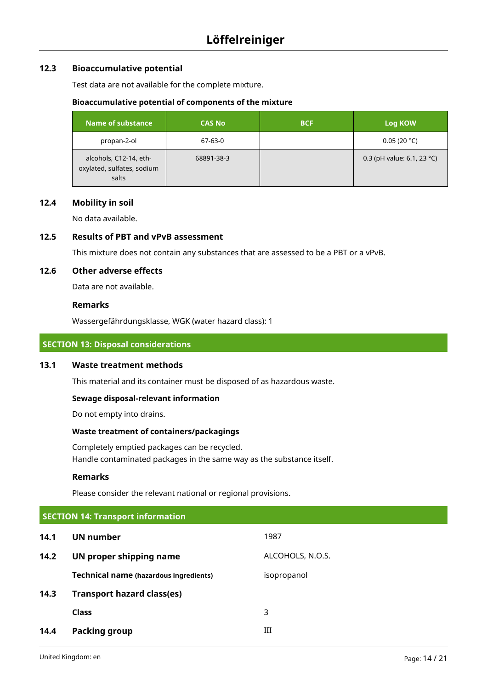## **12.3 Bioaccumulative potential**

Test data are not available for the complete mixture.

#### **Bioaccumulative potential of components of the mixture**

| Name of substance                                             | <b>CAS No</b> | <b>BCF</b> | Log KOW                              |
|---------------------------------------------------------------|---------------|------------|--------------------------------------|
| propan-2-ol                                                   | 67-63-0       |            | 0.05(20 °C)                          |
| alcohols, C12-14, eth-<br>oxylated, sulfates, sodium<br>salts | 68891-38-3    |            | 0.3 (pH value: 6.1, 23 $^{\circ}$ C) |

## **12.4 Mobility in soil**

No data available.

#### **12.5 Results of PBT and vPvB assessment**

This mixture does not contain any substances that are assessed to be a PBT or a vPvB.

#### **12.6 Other adverse effects**

Data are not available.

#### **Remarks**

Wassergefährdungsklasse, WGK (water hazard class): 1

#### **SECTION 13: Disposal considerations**

#### **13.1 Waste treatment methods**

This material and its container must be disposed of as hazardous waste.

#### **Sewage disposal-relevant information**

Do not empty into drains.

#### **Waste treatment of containers/packagings**

Completely emptied packages can be recycled. Handle contaminated packages in the same way as the substance itself.

#### **Remarks**

Please consider the relevant national or regional provisions.

|      | <b>SECTION 14: Transport information</b> |                  |  |  |
|------|------------------------------------------|------------------|--|--|
| 14.1 | <b>UN number</b>                         | 1987             |  |  |
| 14.2 | UN proper shipping name                  | ALCOHOLS, N.O.S. |  |  |
|      | Technical name (hazardous ingredients)   | isopropanol      |  |  |
| 14.3 | <b>Transport hazard class(es)</b>        |                  |  |  |
|      | <b>Class</b>                             | 3                |  |  |
| 14.4 | Packing group                            | Ш                |  |  |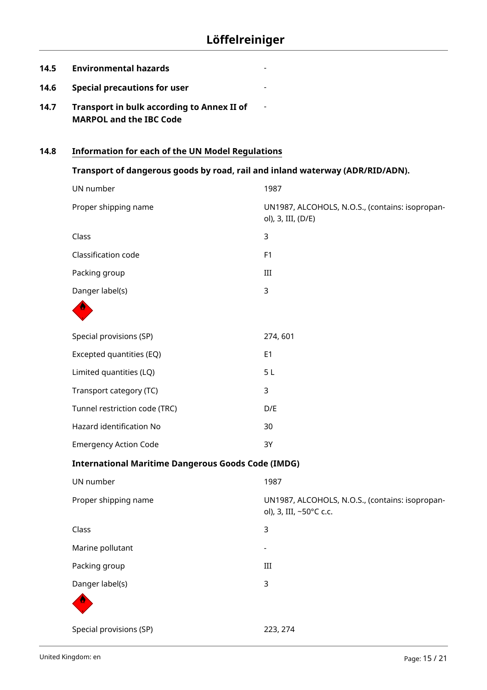-

# **14.5 Environmental hazards** -

- **14.6 Special precautions for user** -
- **14.7 Transport in bulk according to Annex II of MARPOL and the IBC Code**

# **14.8 Information for each of the UN Model Regulations**

# **Transport of dangerous goods by road, rail and inland waterway (ADR/RID/ADN).**

| UN number                                                 | 1987                                                                       |
|-----------------------------------------------------------|----------------------------------------------------------------------------|
| Proper shipping name                                      | UN1987, ALCOHOLS, N.O.S., (contains: isopropan-<br>ol), 3, III, (D/E)      |
| Class                                                     | 3                                                                          |
| Classification code                                       | F <sub>1</sub>                                                             |
| Packing group                                             | $\rm III$                                                                  |
| Danger label(s)                                           | 3                                                                          |
|                                                           |                                                                            |
| Special provisions (SP)                                   | 274,601                                                                    |
| Excepted quantities (EQ)                                  | E <sub>1</sub>                                                             |
| Limited quantities (LQ)                                   | 5 <sub>L</sub>                                                             |
| Transport category (TC)                                   | 3                                                                          |
| Tunnel restriction code (TRC)                             | D/E                                                                        |
| Hazard identification No                                  | 30                                                                         |
| <b>Emergency Action Code</b>                              | 3Y                                                                         |
| <b>International Maritime Dangerous Goods Code (IMDG)</b> |                                                                            |
| UN number                                                 | 1987                                                                       |
| Proper shipping name                                      | UN1987, ALCOHOLS, N.O.S., (contains: isopropan-<br>ol), 3, III, ~50°C c.c. |
| Class                                                     | 3                                                                          |
| Marine pollutant                                          |                                                                            |
| Packing group                                             | III                                                                        |
| Danger label(s)                                           | $\mathsf 3$                                                                |
|                                                           |                                                                            |
| Special provisions (SP)                                   | 223, 274                                                                   |
|                                                           |                                                                            |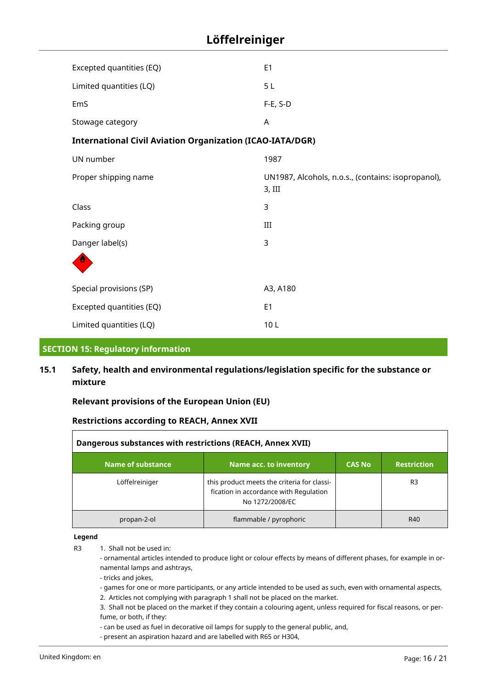| Excepted quantities (EQ)                                         | E1                                                           |
|------------------------------------------------------------------|--------------------------------------------------------------|
| Limited quantities (LQ)                                          | 5L                                                           |
| EmS                                                              | $F-E, S-D$                                                   |
| Stowage category                                                 | A                                                            |
| <b>International Civil Aviation Organization (ICAO-IATA/DGR)</b> |                                                              |
| UN number                                                        | 1987                                                         |
| Proper shipping name                                             | UN1987, Alcohols, n.o.s., (contains: isopropanol),<br>3, III |
| Class                                                            | 3                                                            |
| Packing group                                                    | III                                                          |
| Danger label(s)                                                  | 3                                                            |
|                                                                  |                                                              |
| Special provisions (SP)                                          | A3, A180                                                     |
| Excepted quantities (EQ)                                         | E <sub>1</sub>                                               |
| Limited quantities (LQ)                                          | 10L                                                          |

## **SECTION 15: Regulatory information**

# **15.1 Safety, health and environmental regulations/legislation specific for the substance or mixture**

## **Relevant provisions of the European Union (EU)**

#### **Restrictions according to REACH, Annex XVII**

| Dangerous substances with restrictions (REACH, Annex XVII) |                                                                                                          |               |                    |  |
|------------------------------------------------------------|----------------------------------------------------------------------------------------------------------|---------------|--------------------|--|
| Name of substance                                          | Name acc. to inventory                                                                                   | <b>CAS No</b> | <b>Restriction</b> |  |
| Löffelreiniger                                             | this product meets the criteria for classi-<br>fication in accordance with Regulation<br>No 1272/2008/EC |               | R <sub>3</sub>     |  |
| propan-2-ol                                                | flammable / pyrophoric                                                                                   |               | R40                |  |

#### **Legend**

R3 1. Shall not be used in:

- ornamental articles intended to produce light or colour effects by means of different phases, for example in ornamental lamps and ashtrays,

- tricks and jokes,

- games for one or more participants, or any article intended to be used as such, even with ornamental aspects,

2. Articles not complying with paragraph 1 shall not be placed on the market.

3. Shall not be placed on the market if they contain a colouring agent, unless required for fiscal reasons, or perfume, or both, if they:

- can be used as fuel in decorative oil lamps for supply to the general public, and,

- present an aspiration hazard and are labelled with R65 or H304,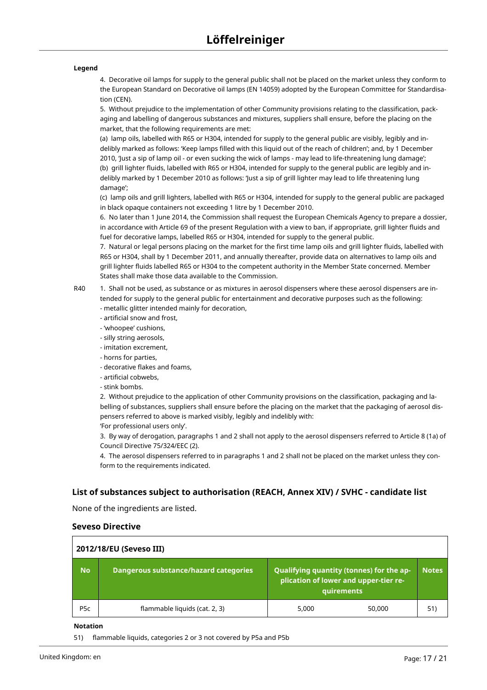#### **Legend**

4. Decorative oil lamps for supply to the general public shall not be placed on the market unless they conform to the European Standard on Decorative oil lamps (EN 14059) adopted by the European Committee for Standardisation (CEN).

5. Without prejudice to the implementation of other Community provisions relating to the classification, packaging and labelling of dangerous substances and mixtures, suppliers shall ensure, before the placing on the market, that the following requirements are met:

(a) lamp oils, labelled with R65 or H304, intended for supply to the general public are visibly, legibly and indelibly marked as follows: 'Keep lamps filled with this liquid out of the reach of children'; and, by 1 December 2010, 'Just a sip of lamp oil - or even sucking the wick of lamps - may lead to life-threatening lung damage'; (b) grill lighter fluids, labelled with R65 or H304, intended for supply to the general public are legibly and indelibly marked by 1 December 2010 as follows: 'Just a sip of grill lighter may lead to life threatening lung damage';

(c) lamp oils and grill lighters, labelled with R65 or H304, intended for supply to the general public are packaged in black opaque containers not exceeding 1 litre by 1 December 2010.

6. No later than 1 June 2014, the Commission shall request the European Chemicals Agency to prepare a dossier, in accordance with Article 69 of the present Regulation with a view to ban, if appropriate, grill lighter fluids and fuel for decorative lamps, labelled R65 or H304, intended for supply to the general public.

7. Natural or legal persons placing on the market for the first time lamp oils and grill lighter fluids, labelled with R65 or H304, shall by 1 December 2011, and annually thereafter, provide data on alternatives to lamp oils and grill lighter fluids labelled R65 or H304 to the competent authority in the Member State concerned. Member States shall make those data available to the Commission.

R40 1. Shall not be used, as substance or as mixtures in aerosol dispensers where these aerosol dispensers are intended for supply to the general public for entertainment and decorative purposes such as the following: - metallic glitter intended mainly for decoration,

- artificial snow and frost,
- 'whoopee' cushions,
- silly string aerosols,
- imitation excrement,
- horns for parties,
- decorative flakes and foams,
- artificial cobwebs,
- stink bombs.

2. Without prejudice to the application of other Community provisions on the classification, packaging and labelling of substances, suppliers shall ensure before the placing on the market that the packaging of aerosol dispensers referred to above is marked visibly, legibly and indelibly with:

'For professional users only'.

3. By way of derogation, paragraphs 1 and 2 shall not apply to the aerosol dispensers referred to Article 8 (1a) of Council Directive 75/324/EEC (2).

4. The aerosol dispensers referred to in paragraphs 1 and 2 shall not be placed on the market unless they conform to the requirements indicated.

#### **List of substances subject to authorisation (REACH, Annex XIV) / SVHC - candidate list**

None of the ingredients are listed.

#### **Seveso Directive**

| 2012/18/EU (Seveso III) |                                              |                                                                                                 |        |              |  |
|-------------------------|----------------------------------------------|-------------------------------------------------------------------------------------------------|--------|--------------|--|
| <b>No</b>               | <b>Dangerous substance/hazard categories</b> | Qualifying quantity (tonnes) for the ap-<br>plication of lower and upper-tier re-<br>quirements |        | <b>Notes</b> |  |
| P <sub>5</sub> c        | flammable liquids (cat. 2, 3)                | 5,000                                                                                           | 50,000 | 51)          |  |

#### **Notation**

51) flammable liquids, categories 2 or 3 not covered by P5a and P5b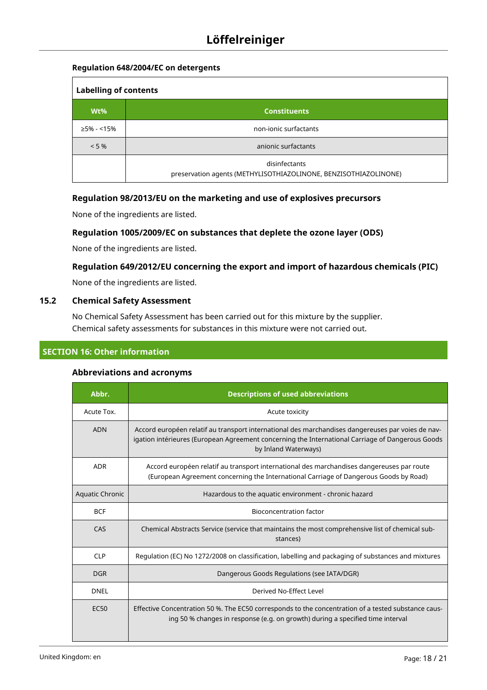# **Regulation 648/2004/EC on detergents**

| <b>Labelling of contents</b> |                                                                                   |  |  |  |
|------------------------------|-----------------------------------------------------------------------------------|--|--|--|
| $Wt\%$                       | <b>Constituents</b>                                                               |  |  |  |
| ≥5% - <15%                   | non-jonic surfactants                                                             |  |  |  |
| $< 5 \%$                     | anionic surfactants                                                               |  |  |  |
|                              | disinfectants<br>preservation agents (METHYLISOTHIAZOLINONE, BENZISOTHIAZOLINONE) |  |  |  |

## **Regulation 98/2013/EU on the marketing and use of explosives precursors**

None of the ingredients are listed.

## **Regulation 1005/2009/EC on substances that deplete the ozone layer (ODS)**

None of the ingredients are listed.

## **Regulation 649/2012/EU concerning the export and import of hazardous chemicals (PIC)**

None of the ingredients are listed.

## **15.2 Chemical Safety Assessment**

No Chemical Safety Assessment has been carried out for this mixture by the supplier. Chemical safety assessments for substances in this mixture were not carried out.

#### **SECTION 16: Other information**

#### **Abbreviations and acronyms**

| Abbr.           | <b>Descriptions of used abbreviations</b>                                                                                                                                                                                     |  |  |
|-----------------|-------------------------------------------------------------------------------------------------------------------------------------------------------------------------------------------------------------------------------|--|--|
| Acute Tox.      | Acute toxicity                                                                                                                                                                                                                |  |  |
| <b>ADN</b>      | Accord européen relatif au transport international des marchandises dangereuses par voies de nav-<br>igation intérieures (European Agreement concerning the International Carriage of Dangerous Goods<br>by Inland Waterways) |  |  |
| <b>ADR</b>      | Accord européen relatif au transport international des marchandises dangereuses par route<br>(European Agreement concerning the International Carriage of Dangerous Goods by Road)                                            |  |  |
| Aquatic Chronic | Hazardous to the aquatic environment - chronic hazard                                                                                                                                                                         |  |  |
| <b>BCF</b>      | <b>Bioconcentration factor</b>                                                                                                                                                                                                |  |  |
| CAS             | Chemical Abstracts Service (service that maintains the most comprehensive list of chemical sub-<br>stances)                                                                                                                   |  |  |
| <b>CLP</b>      | Regulation (EC) No 1272/2008 on classification, labelling and packaging of substances and mixtures                                                                                                                            |  |  |
| <b>DGR</b>      | Dangerous Goods Regulations (see IATA/DGR)                                                                                                                                                                                    |  |  |
| <b>DNEL</b>     | Derived No-Effect Level                                                                                                                                                                                                       |  |  |
| <b>EC50</b>     | Effective Concentration 50 %. The EC50 corresponds to the concentration of a tested substance caus-<br>ing 50 % changes in response (e.g. on growth) during a specified time interval                                         |  |  |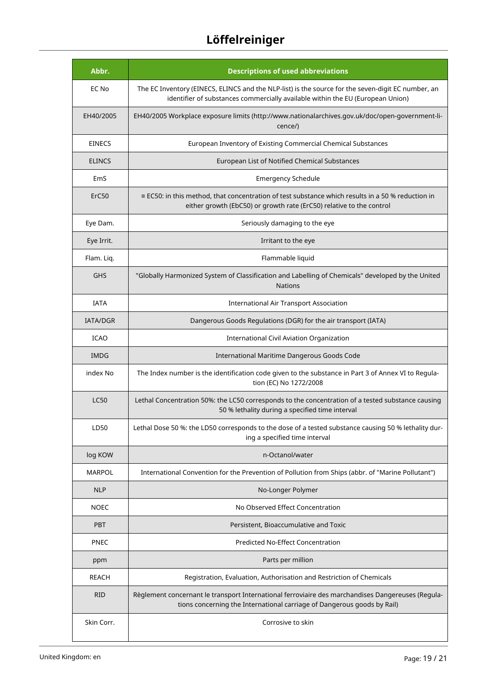| Abbr.           | <b>Descriptions of used abbreviations</b>                                                                                                                                            |
|-----------------|--------------------------------------------------------------------------------------------------------------------------------------------------------------------------------------|
| EC No           | The EC Inventory (EINECS, ELINCS and the NLP-list) is the source for the seven-digit EC number, an<br>identifier of substances commercially available within the EU (European Union) |
| EH40/2005       | EH40/2005 Workplace exposure limits (http://www.nationalarchives.gov.uk/doc/open-government-li-<br>cence/)                                                                           |
| <b>EINECS</b>   | European Inventory of Existing Commercial Chemical Substances                                                                                                                        |
| <b>ELINCS</b>   | European List of Notified Chemical Substances                                                                                                                                        |
| EmS             | <b>Emergency Schedule</b>                                                                                                                                                            |
| ErC50           | = EC50: in this method, that concentration of test substance which results in a 50 % reduction in<br>either growth (EbC50) or growth rate (ErC50) relative to the control            |
| Eye Dam.        | Seriously damaging to the eye                                                                                                                                                        |
| Eye Irrit.      | Irritant to the eye                                                                                                                                                                  |
| Flam. Liq.      | Flammable liquid                                                                                                                                                                     |
| <b>GHS</b>      | "Globally Harmonized System of Classification and Labelling of Chemicals" developed by the United<br><b>Nations</b>                                                                  |
| <b>IATA</b>     | <b>International Air Transport Association</b>                                                                                                                                       |
| <b>IATA/DGR</b> | Dangerous Goods Regulations (DGR) for the air transport (IATA)                                                                                                                       |
| <b>ICAO</b>     | International Civil Aviation Organization                                                                                                                                            |
| <b>IMDG</b>     | International Maritime Dangerous Goods Code                                                                                                                                          |
| index No        | The Index number is the identification code given to the substance in Part 3 of Annex VI to Regula-<br>tion (EC) No 1272/2008                                                        |
| <b>LC50</b>     | Lethal Concentration 50%: the LC50 corresponds to the concentration of a tested substance causing<br>50 % lethality during a specified time interval                                 |
| LD50            | Lethal Dose 50 %: the LD50 corresponds to the dose of a tested substance causing 50 % lethality dur-<br>ing a specified time interval                                                |
| log KOW         | n-Octanol/water                                                                                                                                                                      |
| <b>MARPOL</b>   | International Convention for the Prevention of Pollution from Ships (abbr. of "Marine Pollutant")                                                                                    |
| <b>NLP</b>      | No-Longer Polymer                                                                                                                                                                    |
| <b>NOEC</b>     | No Observed Effect Concentration                                                                                                                                                     |
| PBT             | Persistent, Bioaccumulative and Toxic                                                                                                                                                |
| <b>PNEC</b>     | Predicted No-Effect Concentration                                                                                                                                                    |
| ppm             | Parts per million                                                                                                                                                                    |
| <b>REACH</b>    | Registration, Evaluation, Authorisation and Restriction of Chemicals                                                                                                                 |
| <b>RID</b>      | Règlement concernant le transport International ferroviaire des marchandises Dangereuses (Regula-<br>tions concerning the International carriage of Dangerous goods by Rail)         |
| Skin Corr.      | Corrosive to skin                                                                                                                                                                    |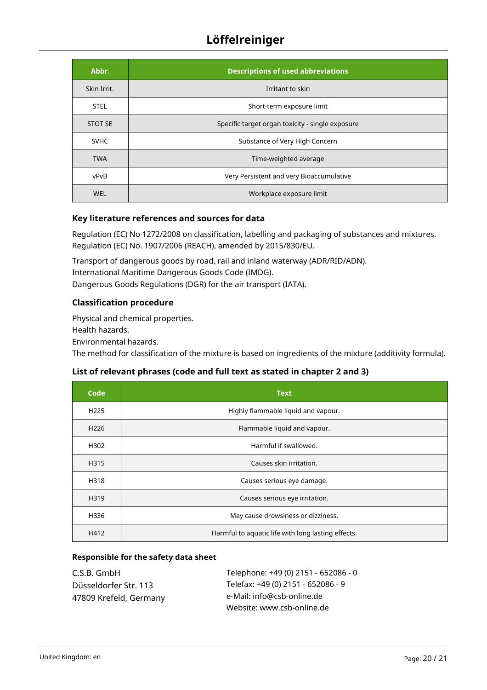| Abbr.          | <b>Descriptions of used abbreviations</b>        |  |
|----------------|--------------------------------------------------|--|
| Skin Irrit.    | Irritant to skin                                 |  |
| <b>STEL</b>    | Short-term exposure limit                        |  |
| <b>STOT SE</b> | Specific target organ toxicity - single exposure |  |
| <b>SVHC</b>    | Substance of Very High Concern                   |  |
| <b>TWA</b>     | Time-weighted average                            |  |
| vPvB           | Very Persistent and very Bioaccumulative         |  |
| <b>WEL</b>     | Workplace exposure limit                         |  |

## **Key literature references and sources for data**

Regulation (EC) No 1272/2008 on classification, labelling and packaging of substances and mixtures. Regulation (EC) No. 1907/2006 (REACH), amended by 2015/830/EU.

Transport of dangerous goods by road, rail and inland waterway (ADR/RID/ADN). International Maritime Dangerous Goods Code (IMDG). Dangerous Goods Regulations (DGR) for the air transport (IATA).

## **Classification procedure**

Physical and chemical properties.

Health hazards.

Environmental hazards.

The method for classification of the mixture is based on ingredients of the mixture (additivity formula).

## **List of relevant phrases (code and full text as stated in chapter 2 and 3)**

| Code             | <b>Text</b>                                        |
|------------------|----------------------------------------------------|
| H <sub>225</sub> | Highly flammable liquid and vapour.                |
| H <sub>226</sub> | Flammable liquid and vapour.                       |
| H302             | Harmful if swallowed.                              |
| H315             | Causes skin irritation.                            |
| H318             | Causes serious eye damage.                         |
| H319             | Causes serious eye irritation.                     |
| H336             | May cause drowsiness or dizziness.                 |
| H412             | Harmful to aquatic life with long lasting effects. |

#### **Responsible for the safety data sheet**

| C.S.B. GmbH            | Telephone: +49 (0) 2151 - 652086 - 0 |
|------------------------|--------------------------------------|
| Düsseldorfer Str. 113  | Telefax: +49 (0) 2151 - 652086 - 9   |
| 47809 Krefeld, Germany | e-Mail: info@csb-online.de           |
|                        | Website: www.csb-online.de           |